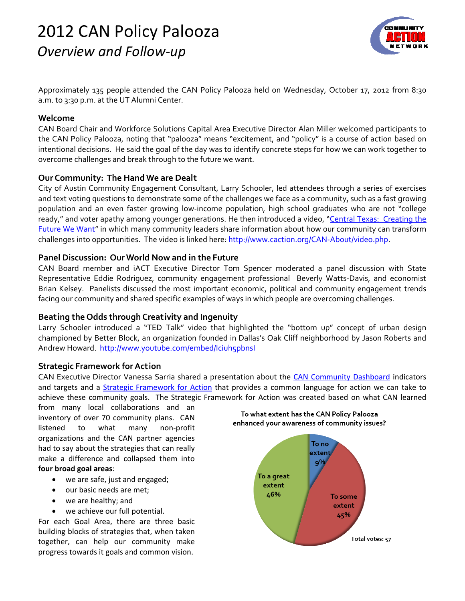# *Overview and Follow‐up* 2012 CAN Policy Palooza



Approximately 135 people attended the CAN Policy Palooza held on Wednesday, October 17, 2012 from 8:30 a.m. to 3:30 p.m. at the UT Alumni Center.

#### **Welcome**

CAN Board Chair and Workforce Solutions Capital Area Executive Director Alan Miller welcomed participants to the CAN Policy Palooza, noting that "palooza" means "excitement, and "policy" is a course of action based on intentional decisions. He said the goal of the day was to identify concrete steps for how we can work together to overcome challenges and break through to the future we want.

## **Our Community: The Hand We are Dealt**

City of Austin Community Engagement Consultant, Larry Schooler, led attendees through a series of exercises and text voting questions to demonstrate some of the challenges we face as a community, such as a fast growing population and an even faster growing low-income population, high school graduates who are not "college ready," and voter apathy among younger generations. He then introduced a video, "Central Texas: Creating the Future We Want" in which many community leaders share information about how our community can transform challenges into opportunities. The video is linked here: http://www.caction.org/CAN-About/video.php.

## **Panel Discussion: OurWorld Now and in the Future**

CAN Board member and iACT Executive Director Tom Spencer moderated a panel discussion with State Representative Eddie Rodriguez, community engagement professional Beverly Watts-Davis, and economist Brian Kelsey. Panelists discussed the most important economic, political and community engagement trends facing our community and shared specific examples of ways in which people are overcoming challenges.

## **Beating the Odds through Creativity and Ingenuity**

Larry Schooler introduced a "TED Talk" video that highlighted the "bottom up" concept of urban design championed by Better Block, an organization founded in Dallas's Oak Cliff neighborhood by Jason Roberts and Andrew Howard. http://www.youtube.com/embed/Iciuh5pbnsI

## **Strategic Framework forAction**

CAN Executive Director Vanessa Sarria shared a presentation about the CAN Community Dashboard indicators and targets and a Strategic Framework for Action that provides a common language for action we can take to achieve these community goals. The Strategic Framework for Action was created based on what CAN learned

from many local collaborations and an inventory of over 70 community plans. CAN listened to what many non‐profit organizations and the CAN partner agencies had to say about the strategies that can really make a difference and collapsed them into **four broad goal areas**:

- we are safe, just and engaged;
- our basic needs are met;
- we are healthy; and
- we achieve our full potential.

For each Goal Area, there are three basic building blocks of strategies that, when taken together, can help our community make progress towards it goals and common vision.



To what extent has the CAN Policy Palooza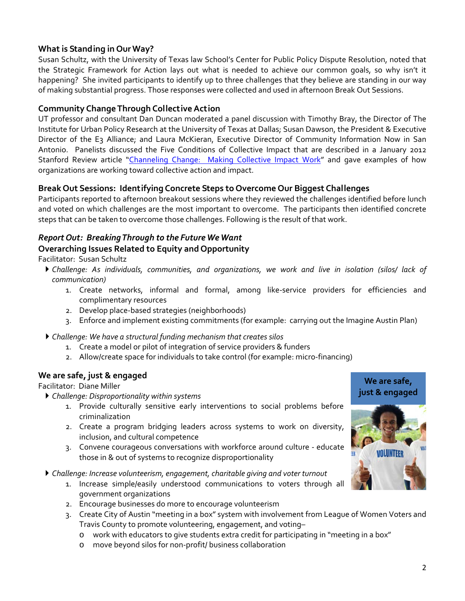# **What is Standing in OurWay?**

Susan Schultz, with the University of Texas law School's Center for Public Policy Dispute Resolution, noted that the Strategic Framework for Action lays out what is needed to achieve our common goals, so why isn't it happening? She invited participants to identify up to three challenges that they believe are standing in our way of making substantial progress. Those responses were collected and used in afternoon Break Out Sessions.

# **Community Change Through Collective Action**

UT professor and consultant Dan Duncan moderated a panel discussion with Timothy Bray, the Director of The Institute for Urban Policy Research at the University of Texas at Dallas; Susan Dawson, the President & Executive Director of the E3 Alliance; and Laura McKieran, Executive Director of Community Information Now in San Antonio. Panelists discussed the Five Conditions of Collective Impact that are described in a January 2012 Stanford Review article "Channeling Change: Making Collective Impact Work" and gave examples of how organizations are working toward collective action and impact.

# **Break Out Sessions: Identifying Concrete Steps to Overcome Our Biggest Challenges**

Participants reported to afternoon breakout sessions where they reviewed the challenges identified before lunch and voted on which challenges are the most important to overcome. The participants then identified concrete steps that can be taken to overcome those challenges. Following is the result of that work.

## *Report Out: BreakingThrough to the FutureWeWant* **Overarching Issues Related to Equity and Opportunity**

Facilitator: Susan Schultz

- *Challenge: As individuals, communities, and organizations, we work and live in isolation (silos/ lack of communication)*
	- 1. Create networks, informal and formal, among like‐service providers for efficiencies and complimentary resources
	- 2. Develop place‐based strategies (neighborhoods)
	- 3. Enforce and implement existing commitments (for example: carrying out the Imagine Austin Plan)
- *Challenge: We have a structural funding mechanism that creates silos*
	- 1. Create a model or pilot of integration of service providers & funders
	- 2. Allow/create space for individuals to take control (for example: micro-financing)

## **We are safe, just & engaged**

Facilitator: Diane Miller

*Challenge: Disproportionality within systems*

- 1. Provide culturally sensitive early interventions to social problems before criminalization
- 2. Create a program bridging leaders across systems to work on diversity, inclusion, and cultural competence
- 3. Convene courageous conversations with workforce around culture ‐ educate those in & out of systems to recognize disproportionality
- *Challenge: Increase volunteerism, engagement, charitable giving and voter turnout*
	- 1. Increase simple/easily understood communications to voters through all government organizations
	- 2. Encourage businesses do more to encourage volunteerism
	- 3. Create City of Austin "meeting in a box" system with involvement from League of Women Voters and Travis County to promote volunteering, engagement, and voting–
		- o work with educators to give students extra credit for participating in "meeting in a box"
		- o move beyond silos for non‐profit/ business collaboration

**We are safe, just & engaged**

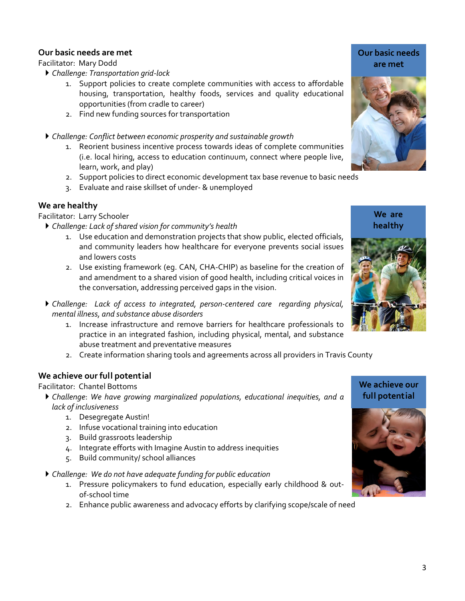## **Our basic needs are met**

Facilitator: Mary Dodd

- *Challenge: Transportation grid‐lock* 
	- 1. Support policies to create complete communities with access to affordable housing, transportation, healthy foods, services and quality educational opportunities (from cradle to career)
	- 2. Find new funding sources for transportation
- *Challenge: Conflict between economic prosperity and sustainable growth*
	- 1. Reorient business incentive process towards ideas of complete communities (i.e. local hiring, access to education continuum, connect where people live, learn, work, and play)
	- 2. Support policies to direct economic development tax base revenue to basic needs
	- 3. Evaluate and raise skillset of under‐ & unemployed

#### **We are healthy**

Facilitator: Larry Schooler

- *Challenge: Lack of shared vision for community's health*
	- 1. Use education and demonstration projects that show public, elected officials, and community leaders how healthcare for everyone prevents social issues and lowers costs
	- 2. Use existing framework (eg. CAN, CHA‐CHIP) as baseline for the creation of and amendment to a shared vision of good health, including critical voices in the conversation, addressing perceived gaps in the vision.
- *Challenge: Lack of access to integrated, person‐centered care regarding physical, mental illness, and substance abuse disorders*
	- 1. Increase infrastructure and remove barriers for healthcare professionals to practice in an integrated fashion, including physical, mental, and substance abuse treatment and preventative measures
	- 2. Create information sharing tools and agreements across all providers in Travis County

## **We achieve our full potential**

Facilitator: Chantel Bottoms

- *Challenge*: *We have growing marginalized populations, educational inequities, and a lack of inclusiveness*
	- 1. Desegregate Austin!
	- 2. Infuse vocational training into education
	- 3. Build grassroots leadership
	- 4. Integrate efforts with Imagine Austin to address inequities
	- 5. Build community/ school alliances
- *Challenge: We do not have adequate funding for public education*
	- 1. Pressure policymakers to fund education, especially early childhood & outof‐school time
	- 2. Enhance public awareness and advocacy efforts by clarifying scope/scale of need

#### **Our basic needs are met**



**We are healthy**